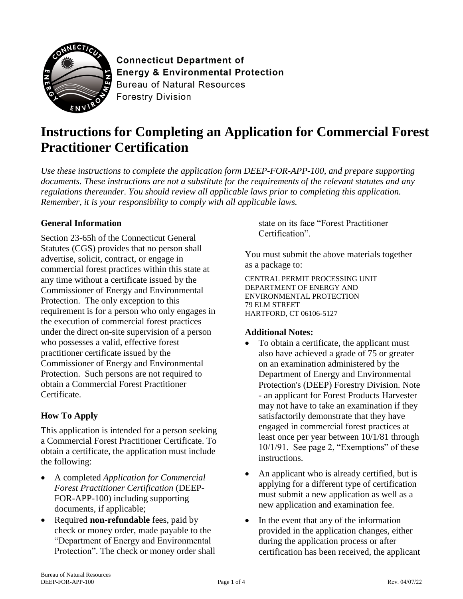

**Connecticut Department of Energy & Environmental Protection Bureau of Natural Resources Forestry Division** 

# **Instructions for Completing an Application for Commercial Forest Practitioner Certification**

*Use these instructions to complete the application form DEEP-FOR-APP-100, and prepare supporting documents. These instructions are not a substitute for the requirements of the relevant statutes and any regulations thereunder. You should review all applicable laws prior to completing this application. Remember, it is your responsibility to comply with all applicable laws.* 

#### **General Information**

Section 23-65h of the Connecticut General Statutes (CGS) provides that no person shall advertise, solicit, contract, or engage in commercial forest practices within this state at any time without a certificate issued by the Commissioner of Energy and Environmental Protection. The only exception to this requirement is for a person who only engages in the execution of commercial forest practices under the direct on-site supervision of a person who possesses a valid, effective forest practitioner certificate issued by the Commissioner of Energy and Environmental Protection. Such persons are not required to obtain a Commercial Forest Practitioner Certificate.

#### **How To Apply**

This application is intended for a person seeking a Commercial Forest Practitioner Certificate. To obtain a certificate, the application must include the following:

- A completed *Application for Commercial Forest Practitioner Certification* (DEEP-FOR-APP-100) including supporting documents, if applicable;
- Required **non-refundable** fees, paid by check or money order, made payable to the "Department of Energy and Environmental Protection". The check or money order shall

state on its face "Forest Practitioner Certification".

You must submit the above materials together as a package to:

CENTRAL PERMIT PROCESSING UNIT DEPARTMENT OF ENERGY AND ENVIRONMENTAL PROTECTION 79 ELM STREET HARTFORD, CT 06106-5127

#### **Additional Notes:**

- To obtain a certificate, the applicant must also have achieved a grade of 75 or greater on an examination administered by the Department of Energy and Environmental Protection's (DEEP) Forestry Division. Note - an applicant for Forest Products Harvester may not have to take an examination if they satisfactorily demonstrate that they have engaged in commercial forest practices at least once per year between 10/1/81 through 10/1/91. See page 2, "Exemptions" of these instructions.
- An applicant who is already certified, but is applying for a different type of certification must submit a new application as well as a new application and examination fee.
- In the event that any of the information provided in the application changes, either during the application process or after certification has been received, the applicant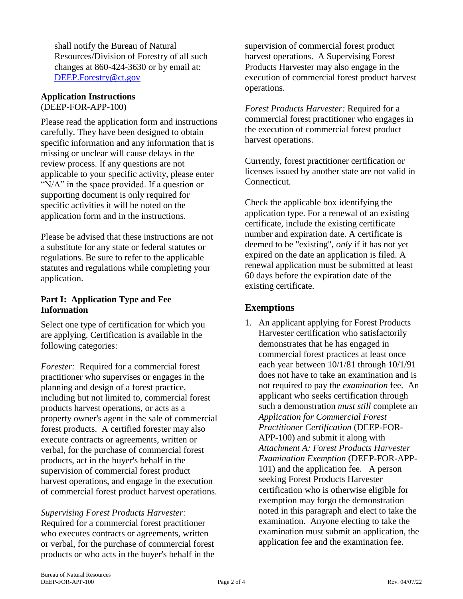shall notify the Bureau of Natural Resources/Division of Forestry of all such changes at 860-424-3630 or by email at: [DEEP.Forestry@ct.gov](mailto:DEEP.Forestry@ct.gov)

#### **Application Instructions**  (DEEP-FOR-APP-100)

Please read the application form and instructions carefully. They have been designed to obtain specific information and any information that is missing or unclear will cause delays in the review process. If any questions are not applicable to your specific activity, please enter "N/A" in the space provided. If a question or supporting document is only required for specific activities it will be noted on the application form and in the instructions.

Please be advised that these instructions are not a substitute for any state or federal statutes or regulations. Be sure to refer to the applicable statutes and regulations while completing your application.

#### **Part I: Application Type and Fee Information**

Select one type of certification for which you are applying. Certification is available in the following categories:

*Forester:* Required for a commercial forest practitioner who supervises or engages in the planning and design of a forest practice, including but not limited to, commercial forest products harvest operations, or acts as a property owner's agent in the sale of commercial forest products. A certified forester may also execute contracts or agreements, written or verbal, for the purchase of commercial forest products, act in the buyer's behalf in the supervision of commercial forest product harvest operations, and engage in the execution of commercial forest product harvest operations.

*Supervising Forest Products Harvester:* Required for a commercial forest practitioner who executes contracts or agreements, written or verbal, for the purchase of commercial forest products or who acts in the buyer's behalf in the supervision of commercial forest product harvest operations. A Supervising Forest Products Harvester may also engage in the execution of commercial forest product harvest operations.

*Forest Products Harvester:* Required for a commercial forest practitioner who engages in the execution of commercial forest product harvest operations.

Currently, forest practitioner certification or licenses issued by another state are not valid in Connecticut.

Check the applicable box identifying the application type. For a renewal of an existing certificate, include the existing certificate number and expiration date. A certificate is deemed to be "existing", *only* if it has not yet expired on the date an application is filed. A renewal application must be submitted at least 60 days before the expiration date of the existing certificate.

## **Exemptions**

1. An applicant applying for Forest Products Harvester certification who satisfactorily demonstrates that he has engaged in commercial forest practices at least once each year between 10/1/81 through 10/1/91 does not have to take an examination and is not required to pay the *examination* fee. An applicant who seeks certification through such a demonstration *must still* complete an *Application for Commercial Forest Practitioner Certification* (DEEP-FOR-APP-100) and submit it along with *Attachment A: Forest Products Harvester Examination Exemption* (DEEP-FOR-APP-101) and the application fee. A person seeking Forest Products Harvester certification who is otherwise eligible for exemption may forgo the demonstration noted in this paragraph and elect to take the examination. Anyone electing to take the examination must submit an application, the application fee and the examination fee.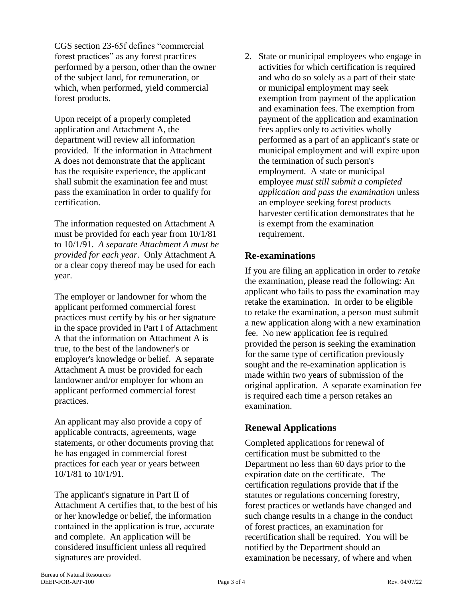CGS section 23-65f defines "commercial forest practices" as any forest practices performed by a person, other than the owner of the subject land, for remuneration, or which, when performed, yield commercial forest products.

Upon receipt of a properly completed application and Attachment A, the department will review all information provided. If the information in Attachment A does not demonstrate that the applicant has the requisite experience, the applicant shall submit the examination fee and must pass the examination in order to qualify for certification.

The information requested on Attachment A must be provided for each year from 10/1/81 to 10/1/91. *A separate Attachment A must be provided for each year*. Only Attachment A or a clear copy thereof may be used for each year.

The employer or landowner for whom the applicant performed commercial forest practices must certify by his or her signature in the space provided in Part I of Attachment A that the information on Attachment A is true, to the best of the landowner's or employer's knowledge or belief. A separate Attachment A must be provided for each landowner and/or employer for whom an applicant performed commercial forest practices.

An applicant may also provide a copy of applicable contracts, agreements, wage statements, or other documents proving that he has engaged in commercial forest practices for each year or years between 10/1/81 to 10/1/91.

The applicant's signature in Part II of Attachment A certifies that, to the best of his or her knowledge or belief, the information contained in the application is true, accurate and complete. An application will be considered insufficient unless all required signatures are provided.

2. State or municipal employees who engage in activities for which certification is required and who do so solely as a part of their state or municipal employment may seek exemption from payment of the application and examination fees. The exemption from payment of the application and examination fees applies only to activities wholly performed as a part of an applicant's state or municipal employment and will expire upon the termination of such person's employment. A state or municipal employee *must still submit a completed application and pass the examination* unless an employee seeking forest products harvester certification demonstrates that he is exempt from the examination requirement.

#### **Re-examinations**

If you are filing an application in order to *retake* the examination, please read the following: An applicant who fails to pass the examination may retake the examination. In order to be eligible to retake the examination, a person must submit a new application along with a new examination fee. No new application fee is required provided the person is seeking the examination for the same type of certification previously sought and the re-examination application is made within two years of submission of the original application. A separate examination fee is required each time a person retakes an examination.

#### **Renewal Applications**

Completed applications for renewal of certification must be submitted to the Department no less than 60 days prior to the expiration date on the certificate. The certification regulations provide that if the statutes or regulations concerning forestry, forest practices or wetlands have changed and such change results in a change in the conduct of forest practices, an examination for recertification shall be required. You will be notified by the Department should an examination be necessary, of where and when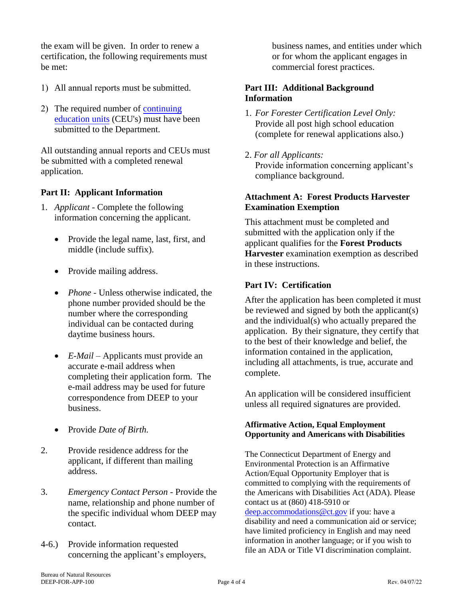the exam will be given. In order to renew a certification, the following requirements must be met:

- 1) All annual reports must be submitted.
- 2) The required number of [continuing](https://portal.ct.gov/DEEP/Forestry/Forest-Practitioner-Certification/Continuing-Education-for-Certified-Forest-Practioners) [education units](http://www.ct.gov/deep/cwp/view.asp?a=2697&q=322768&deepNav_GID=1631) (CEU's) must have been submitted to the Department.

All outstanding annual reports and CEUs must be submitted with a completed renewal application.

#### **Part II: Applicant Information**

- 1. *Applicant* Complete the following information concerning the applicant.
	- Provide the legal name, last, first, and middle (include suffix).
	- Provide mailing address.
	- *Phone*  Unless otherwise indicated, the phone number provided should be the number where the corresponding individual can be contacted during daytime business hours.
	- *E-Mail* Applicants must provide an accurate e-mail address when completing their application form. The e-mail address may be used for future correspondence from DEEP to your business.
	- Provide *Date of Birth.*
- 2. Provide residence address for the applicant, if different than mailing address.
- 3. *Emergency Contact Person* Provide the name, relationship and phone number of the specific individual whom DEEP may contact.
- 4-6.) Provide information requested concerning the applicant's employers,

business names, and entities under which or for whom the applicant engages in commercial forest practices.

#### **Part III: Additional Background Information**

- 1. *For Forester Certification Level Only:* Provide all post high school education (complete for renewal applications also.)
- 2. *For all Applicants:*

Provide information concerning applicant's compliance background.

#### **Attachment A: Forest Products Harvester Examination Exemption**

This attachment must be completed and submitted with the application only if the applicant qualifies for the **Forest Products Harvester** examination exemption as described in these instructions.

#### **Part IV: Certification**

After the application has been completed it must be reviewed and signed by both the applicant(s) and the individual(s) who actually prepared the application. By their signature, they certify that to the best of their knowledge and belief, the information contained in the application, including all attachments, is true, accurate and complete.

An application will be considered insufficient unless all required signatures are provided.

#### **Affirmative Action, Equal Employment Opportunity and Americans with Disabilities**

The Connecticut Department of Energy and Environmental Protection is an Affirmative Action/Equal Opportunity Employer that is committed to complying with the requirements of the Americans with Disabilities Act (ADA). Please contact us at (860) 418-5910 or [deep.accommodations@ct.gov](mailto:deep.accommodations@ct.gov) if you: have a disability and need a communication aid or service; have limited proficiency in English and may need information in another language; or if you wish to file an ADA or Title VI discrimination complaint.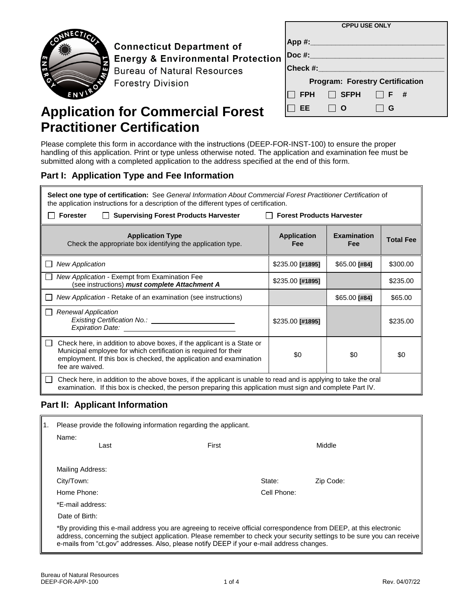**CPPU USE ONLY App #:\_\_\_\_\_\_\_\_\_\_\_\_\_\_\_\_\_\_\_\_\_\_\_\_\_\_\_\_\_\_\_\_ Doc #:\_\_\_\_\_\_\_\_\_\_\_\_\_\_\_\_\_\_\_\_\_\_\_\_\_\_\_\_\_\_\_\_** Check #: **Program: Forestry Certification FPH SFPH F # EE O G**

**Connecticut Department of Energy & Environmental Protection Bureau of Natural Resources Forestry Division** 

# **Application for Commercial Forest Practitioner Certification**

Please complete this form in accordance with the instructions (DEEP-FOR-INST-100) to ensure the proper handling of this application. Print or type unless otherwise noted. The application and examination fee must be submitted along with a completed application to the address specified at the end of this form.

#### **Part I: Application Type and Fee Information**

**Select one type of certification:** See *General Information About Commercial Forest Practitioner Certification* of the application instructions for a description of the different types of certification.

| <b>Supervising Forest Products Harvester</b><br><b>Forester</b>                                                                                                                                                                      | <b>Forest Products Harvester</b> |                           |                  |  |
|--------------------------------------------------------------------------------------------------------------------------------------------------------------------------------------------------------------------------------------|----------------------------------|---------------------------|------------------|--|
| <b>Application Type</b><br>Check the appropriate box identifying the application type.                                                                                                                                               | <b>Application</b><br>Fee        | <b>Examination</b><br>Fee | <b>Total Fee</b> |  |
| <b>New Application</b>                                                                                                                                                                                                               | $$235.00$ [#1895]                | $$65.00$ [#84]            | \$300.00         |  |
| New Application - Exempt from Examination Fee<br>(see instructions) must complete Attachment A                                                                                                                                       | $$235.00$ [#1895]                |                           | \$235.00         |  |
| New Application - Retake of an examination (see instructions)                                                                                                                                                                        |                                  | \$65.00 [#84]             | \$65.00          |  |
| <b>Renewal Application</b><br>Existing Certification No.: _________<br>Expiration Date: ___________                                                                                                                                  | \$235.00 [#1895]                 |                           | \$235.00         |  |
| Check here, in addition to above boxes, if the applicant is a State or<br>Municipal employee for which certification is required for their<br>employment. If this box is checked, the application and examination<br>fee are waived. | \$0                              | \$0                       | \$0              |  |
| Check here, in addition to the above boxes, if the applicant is unable to read and is applying to take the oral<br>examination. If this box is checked, the person preparing this application must sign and complete Part IV.        |                                  |                           |                  |  |

## **Part II: Applicant Information**

| Please provide the following information regarding the applicant. |                                                                                                                                                                                                                                                                                                                                             |        |             |           |
|-------------------------------------------------------------------|---------------------------------------------------------------------------------------------------------------------------------------------------------------------------------------------------------------------------------------------------------------------------------------------------------------------------------------------|--------|-------------|-----------|
|                                                                   | Name:<br>Last                                                                                                                                                                                                                                                                                                                               | First  |             | Middle    |
|                                                                   | Mailing Address:                                                                                                                                                                                                                                                                                                                            |        |             |           |
|                                                                   | City/Town:                                                                                                                                                                                                                                                                                                                                  | State: |             | Zip Code: |
|                                                                   | Home Phone:                                                                                                                                                                                                                                                                                                                                 |        | Cell Phone: |           |
|                                                                   | *E-mail address:                                                                                                                                                                                                                                                                                                                            |        |             |           |
|                                                                   | Date of Birth:                                                                                                                                                                                                                                                                                                                              |        |             |           |
|                                                                   | *By providing this e-mail address you are agreeing to receive official correspondence from DEEP, at this electronic<br>address, concerning the subject application. Please remember to check your security settings to be sure you can receive<br>e-mails from "ct.gov" addresses. Also, please notify DEEP if your e-mail address changes. |        |             |           |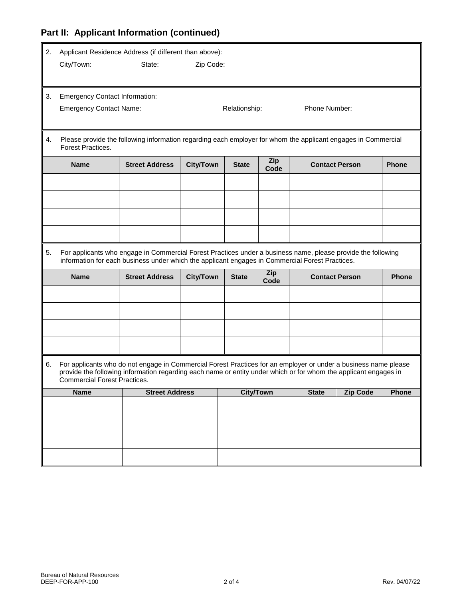# **Part II: Applicant Information (continued)**

| 2. | Applicant Residence Address (if different than above): |                                                                                                                                                                                                                                     |                  |               |                  |                       |                 |              |
|----|--------------------------------------------------------|-------------------------------------------------------------------------------------------------------------------------------------------------------------------------------------------------------------------------------------|------------------|---------------|------------------|-----------------------|-----------------|--------------|
|    | City/Town:                                             | State:                                                                                                                                                                                                                              | Zip Code:        |               |                  |                       |                 |              |
|    |                                                        |                                                                                                                                                                                                                                     |                  |               |                  |                       |                 |              |
| 3. | <b>Emergency Contact Information:</b>                  |                                                                                                                                                                                                                                     |                  |               |                  |                       |                 |              |
|    | <b>Emergency Contact Name:</b>                         |                                                                                                                                                                                                                                     |                  | Relationship: |                  | Phone Number:         |                 |              |
|    |                                                        |                                                                                                                                                                                                                                     |                  |               |                  |                       |                 |              |
|    |                                                        |                                                                                                                                                                                                                                     |                  |               |                  |                       |                 |              |
| 4. | Forest Practices.                                      | Please provide the following information regarding each employer for whom the applicant engages in Commercial                                                                                                                       |                  |               |                  |                       |                 |              |
|    | <b>Name</b>                                            | <b>Street Address</b>                                                                                                                                                                                                               | <b>City/Town</b> | <b>State</b>  | Zip<br>Code      | <b>Contact Person</b> |                 | <b>Phone</b> |
|    |                                                        |                                                                                                                                                                                                                                     |                  |               |                  |                       |                 |              |
|    |                                                        |                                                                                                                                                                                                                                     |                  |               |                  |                       |                 |              |
|    |                                                        |                                                                                                                                                                                                                                     |                  |               |                  |                       |                 |              |
|    |                                                        |                                                                                                                                                                                                                                     |                  |               |                  |                       |                 |              |
|    |                                                        |                                                                                                                                                                                                                                     |                  |               |                  |                       |                 |              |
| 5. |                                                        | For applicants who engage in Commercial Forest Practices under a business name, please provide the following<br>information for each business under which the applicant engages in Commercial Forest Practices.                     |                  |               |                  |                       |                 |              |
|    | <b>Name</b>                                            | <b>Street Address</b>                                                                                                                                                                                                               | <b>City/Town</b> | <b>State</b>  | Zip<br>Code      | <b>Contact Person</b> |                 | <b>Phone</b> |
|    |                                                        |                                                                                                                                                                                                                                     |                  |               |                  |                       |                 |              |
|    |                                                        |                                                                                                                                                                                                                                     |                  |               |                  |                       |                 |              |
|    |                                                        |                                                                                                                                                                                                                                     |                  |               |                  |                       |                 |              |
|    |                                                        |                                                                                                                                                                                                                                     |                  |               |                  |                       |                 |              |
|    |                                                        |                                                                                                                                                                                                                                     |                  |               |                  |                       |                 |              |
| 6. | <b>Commercial Forest Practices.</b>                    | For applicants who do not engage in Commercial Forest Practices for an employer or under a business name please<br>provide the following information regarding each name or entity under which or for whom the applicant engages in |                  |               |                  |                       |                 |              |
|    | <b>Name</b>                                            | <b>Street Address</b>                                                                                                                                                                                                               |                  |               | <b>City/Town</b> | <b>State</b>          | <b>Zip Code</b> | Phone        |
|    |                                                        |                                                                                                                                                                                                                                     |                  |               |                  |                       |                 |              |
|    |                                                        |                                                                                                                                                                                                                                     |                  |               |                  |                       |                 |              |
|    |                                                        |                                                                                                                                                                                                                                     |                  |               |                  |                       |                 |              |
|    |                                                        |                                                                                                                                                                                                                                     |                  |               |                  |                       |                 |              |
|    |                                                        |                                                                                                                                                                                                                                     |                  |               |                  |                       |                 |              |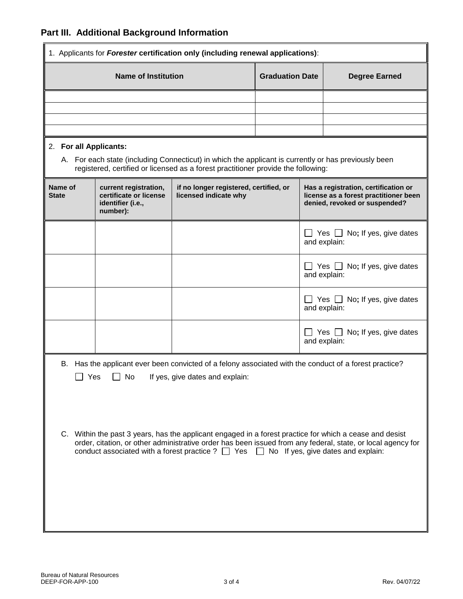# **Part III. Additional Background Information**

| 1. Applicants for Forester certification only (including renewal applications):                                                                                                                                                                                                                                                                                                                                                                                                      |                                                                                  |                                                                                                                                                                                           |                        |  |                                                                                                                |  |
|--------------------------------------------------------------------------------------------------------------------------------------------------------------------------------------------------------------------------------------------------------------------------------------------------------------------------------------------------------------------------------------------------------------------------------------------------------------------------------------|----------------------------------------------------------------------------------|-------------------------------------------------------------------------------------------------------------------------------------------------------------------------------------------|------------------------|--|----------------------------------------------------------------------------------------------------------------|--|
| <b>Name of Institution</b>                                                                                                                                                                                                                                                                                                                                                                                                                                                           |                                                                                  |                                                                                                                                                                                           | <b>Graduation Date</b> |  | <b>Degree Earned</b>                                                                                           |  |
|                                                                                                                                                                                                                                                                                                                                                                                                                                                                                      |                                                                                  |                                                                                                                                                                                           |                        |  |                                                                                                                |  |
|                                                                                                                                                                                                                                                                                                                                                                                                                                                                                      |                                                                                  |                                                                                                                                                                                           |                        |  |                                                                                                                |  |
|                                                                                                                                                                                                                                                                                                                                                                                                                                                                                      |                                                                                  |                                                                                                                                                                                           |                        |  |                                                                                                                |  |
| 2. For all Applicants:                                                                                                                                                                                                                                                                                                                                                                                                                                                               |                                                                                  | A. For each state (including Connecticut) in which the applicant is currently or has previously been<br>registered, certified or licensed as a forest practitioner provide the following: |                        |  |                                                                                                                |  |
| Name of<br><b>State</b>                                                                                                                                                                                                                                                                                                                                                                                                                                                              | current registration,<br>certificate or license<br>identifier (i.e.,<br>number): | if no longer registered, certified, or<br>licensed indicate why                                                                                                                           |                        |  | Has a registration, certification or<br>license as a forest practitioner been<br>denied, revoked or suspended? |  |
|                                                                                                                                                                                                                                                                                                                                                                                                                                                                                      |                                                                                  |                                                                                                                                                                                           |                        |  | $\Box$ Yes $\Box$ No; If yes, give dates<br>and explain:                                                       |  |
|                                                                                                                                                                                                                                                                                                                                                                                                                                                                                      |                                                                                  |                                                                                                                                                                                           |                        |  | $\Box$ Yes $\Box$ No; If yes, give dates<br>and explain:                                                       |  |
|                                                                                                                                                                                                                                                                                                                                                                                                                                                                                      |                                                                                  |                                                                                                                                                                                           |                        |  | $\Box$ Yes $\Box$ No; If yes, give dates<br>and explain:                                                       |  |
|                                                                                                                                                                                                                                                                                                                                                                                                                                                                                      |                                                                                  |                                                                                                                                                                                           |                        |  | Yes $\Box$ No; If yes, give dates<br>and explain:                                                              |  |
| B. Has the applicant ever been convicted of a felony associated with the conduct of a forest practice?<br>Yes<br>No<br>If yes, give dates and explain:<br>C. Within the past 3 years, has the applicant engaged in a forest practice for which a cease and desist<br>order, citation, or other administrative order has been issued from any federal, state, or local agency for<br>conduct associated with a forest practice ? $\Box$ Yes $\Box$ No If yes, give dates and explain: |                                                                                  |                                                                                                                                                                                           |                        |  |                                                                                                                |  |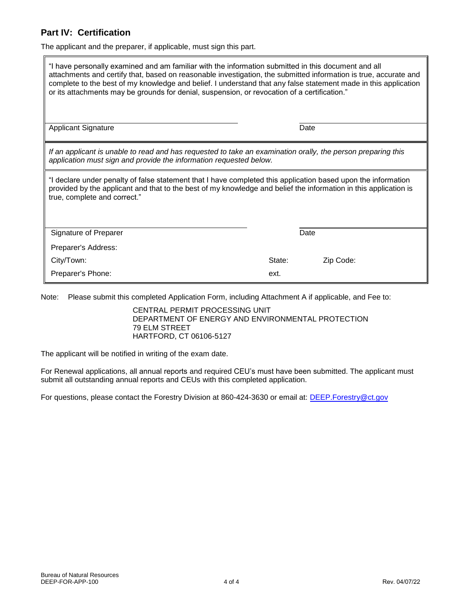#### **Part IV: Certification**

The applicant and the preparer, if applicable, must sign this part.

| "I have personally examined and am familiar with the information submitted in this document and all<br>attachments and certify that, based on reasonable investigation, the submitted information is true, accurate and<br>complete to the best of my knowledge and belief. I understand that any false statement made in this application<br>or its attachments may be grounds for denial, suspension, or revocation of a certification." |        |           |  |  |
|--------------------------------------------------------------------------------------------------------------------------------------------------------------------------------------------------------------------------------------------------------------------------------------------------------------------------------------------------------------------------------------------------------------------------------------------|--------|-----------|--|--|
| <b>Applicant Signature</b>                                                                                                                                                                                                                                                                                                                                                                                                                 |        | Date      |  |  |
| If an applicant is unable to read and has requested to take an examination orally, the person preparing this<br>application must sign and provide the information requested below.                                                                                                                                                                                                                                                         |        |           |  |  |
| "I declare under penalty of false statement that I have completed this application based upon the information<br>provided by the applicant and that to the best of my knowledge and belief the information in this application is<br>true, complete and correct."                                                                                                                                                                          |        |           |  |  |
| Signature of Preparer                                                                                                                                                                                                                                                                                                                                                                                                                      |        | Date      |  |  |
| Preparer's Address:                                                                                                                                                                                                                                                                                                                                                                                                                        |        |           |  |  |
| City/Town:                                                                                                                                                                                                                                                                                                                                                                                                                                 | State: | Zip Code: |  |  |
| Preparer's Phone:                                                                                                                                                                                                                                                                                                                                                                                                                          | ext.   |           |  |  |

Note: Please submit this completed Application Form, including Attachment A if applicable, and Fee to:

CENTRAL PERMIT PROCESSING UNIT DEPARTMENT OF ENERGY AND ENVIRONMENTAL PROTECTION 79 ELM STREET HARTFORD, CT 06106-5127

The applicant will be notified in writing of the exam date.

For Renewal applications, all annual reports and required CEU's must have been submitted. The applicant must submit all outstanding annual reports and CEUs with this completed application.

For questions, please contact the Forestry Division at 860-424-3630 or email at: [DEEP.Forestry@ct.gov](mailto:DEEP.Forestry@ct.gov)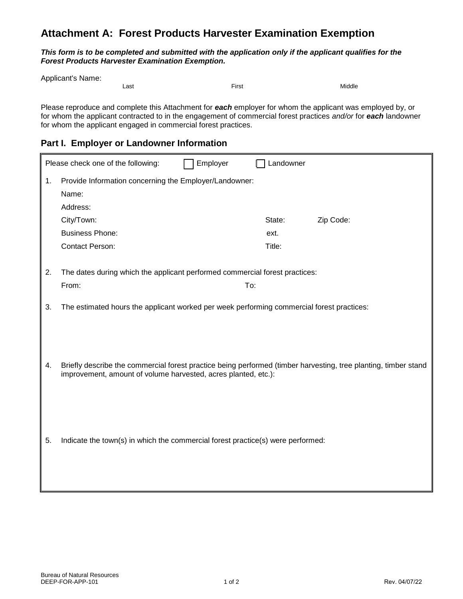# **Attachment A: Forest Products Harvester Examination Exemption**

*This form is to be completed and submitted with the application only if the applicant qualifies for the Forest Products Harvester Examination Exemption.* 

Applicant's Name:

Last First Middle

Please reproduce and complete this Attachment for *each* employer for whom the applicant was employed by, or for whom the applicant contracted to in the engagement of commercial forest practices *and/or* for *each* landowner for whom the applicant engaged in commercial forest practices.

### **Part I. Employer or Landowner Information**

|    | Please check one of the following:                                                        | Employer | Landowner |                                                                                                                 |
|----|-------------------------------------------------------------------------------------------|----------|-----------|-----------------------------------------------------------------------------------------------------------------|
| 1. | Provide Information concerning the Employer/Landowner:<br>Name:                           |          |           |                                                                                                                 |
|    | Address:                                                                                  |          |           |                                                                                                                 |
|    | City/Town:                                                                                |          | State:    | Zip Code:                                                                                                       |
|    | <b>Business Phone:</b>                                                                    |          | ext.      |                                                                                                                 |
|    | <b>Contact Person:</b>                                                                    |          | Title:    |                                                                                                                 |
| 2. | The dates during which the applicant performed commercial forest practices:               |          |           |                                                                                                                 |
|    | From:                                                                                     |          | To:       |                                                                                                                 |
| 3. | The estimated hours the applicant worked per week performing commercial forest practices: |          |           |                                                                                                                 |
| 4. | improvement, amount of volume harvested, acres planted, etc.):                            |          |           | Briefly describe the commercial forest practice being performed (timber harvesting, tree planting, timber stand |
| 5. | Indicate the town(s) in which the commercial forest practice(s) were performed:           |          |           |                                                                                                                 |